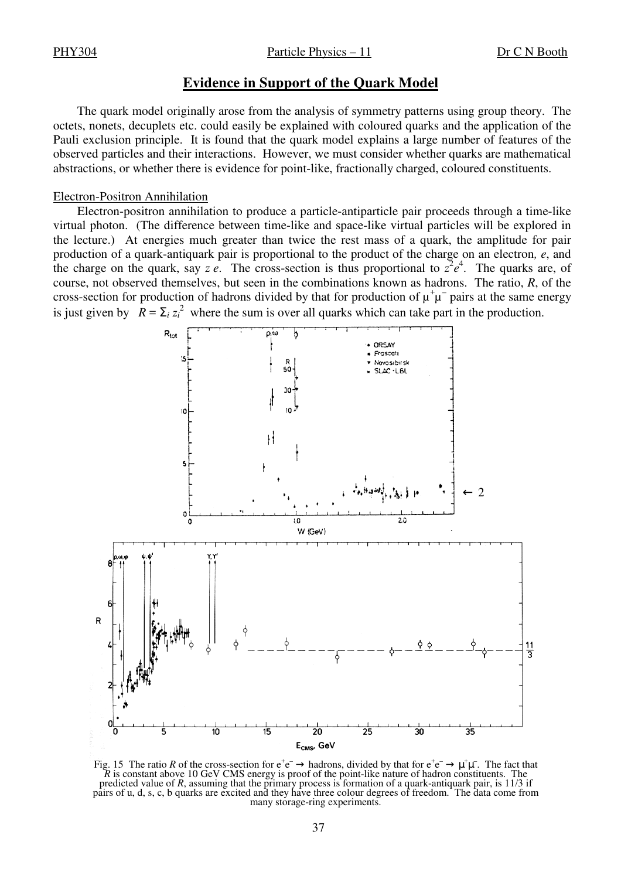PHY304 Particle Physics – 11 Dr C N Booth

## **Evidence in Support of the Quark Model**

The quark model originally arose from the analysis of symmetry patterns using group theory. The octets, nonets, decuplets etc. could easily be explained with coloured quarks and the application of the Pauli exclusion principle. It is found that the quark model explains a large number of features of the observed particles and their interactions. However, we must consider whether quarks are mathematical abstractions, or whether there is evidence for point-like, fractionally charged, coloured constituents.

## Electron-Positron Annihilation

Electron-positron annihilation to produce a particle-antiparticle pair proceeds through a time-like virtual photon. (The difference between time-like and space-like virtual particles will be explored in the lecture.) At energies much greater than twice the rest mass of a quark, the amplitude for pair production of a quark-antiquark pair is proportional to the product of the charge on an electron*, e*, and the charge on the quark, say *z e*. The cross-section is thus proportional to  $z^2e^4$ . The quarks are, of course, not observed themselves, but seen in the combinations known as hadrons. The ratio, *R*, of the cross-section for production of hadrons divided by that for production of  $\mu^+\mu^-$  pairs at the same energy is just given by  $R = \sum_i z_i^2$  where the sum is over all quarks which can take part in the production.



Fig. 15 The ratio R of the cross-section for  $e^+e^- \to$  hadrons, divided by that for  $e^+e^- \to \mu^+\mu^-$ . The fact that *R* is constant above 10 GeV CMS energy is proof of the point-like nature of hadron constituents. The predicted value of *R*, assuming that the primary process is formation of a quark-antiquark pair, is 11/3 if pairs of u, d, s, c, b quarks are excited and they have three colour degrees of freedom. The data come from many storage-ring experiments.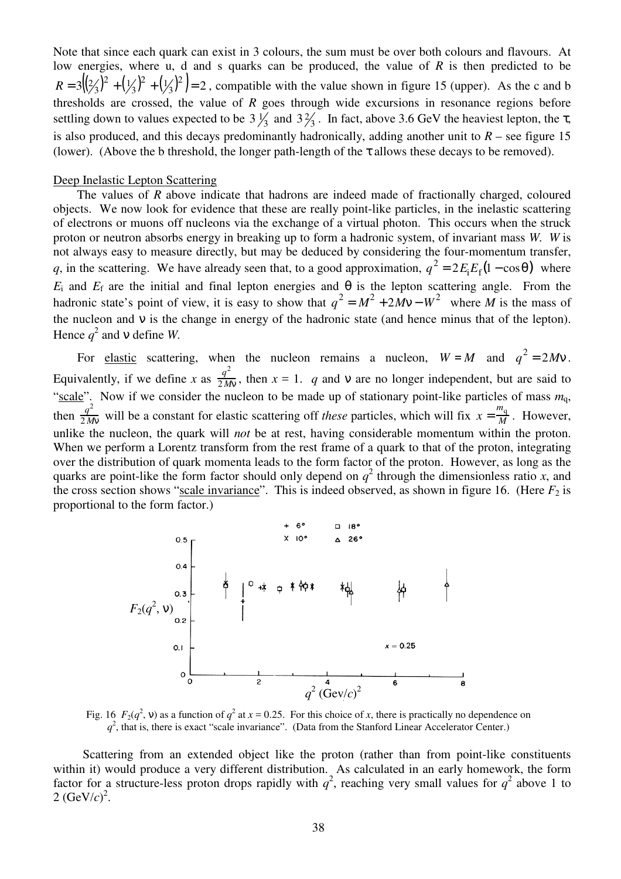Note that since each quark can exist in 3 colours, the sum must be over both colours and flavours. At low energies, where u, d and s quarks can be produced, the value of *R* is then predicted to be  $3((2/3)^2 + (1/3)^2 + (1/3)^2) = 2$  $^{2}+\left(\frac{1}{3}\right)$  $^{2}+\left(\frac{1}{3}\right)$  $R = 3\left(\frac{2}{3}\right)^2 + \left(\frac{1}{3}\right)^2 + \left(\frac{1}{3}\right)^2 = 2$ , compatible with the value shown in figure 15 (upper). As the c and b thresholds are crossed, the value of *R* goes through wide excursions in resonance regions before settling down to values expected to be  $3\frac{1}{3}$  and  $3\frac{2}{3}$ . In fact, above 3.6 GeV the heaviest lepton, the  $\tau$ , is also produced, and this decays predominantly hadronically, adding another unit to  $R$  – see figure 15 (lower). (Above the b threshold, the longer path-length of the  $\tau$  allows these decays to be removed).

## Deep Inelastic Lepton Scattering

The values of *R* above indicate that hadrons are indeed made of fractionally charged, coloured objects. We now look for evidence that these are really point-like particles, in the inelastic scattering of electrons or muons off nucleons via the exchange of a virtual photon. This occurs when the struck proton or neutron absorbs energy in breaking up to form a hadronic system, of invariant mass *W*. *W* is not always easy to measure directly, but may be deduced by considering the four-momentum transfer, *q*, in the scattering. We have already seen that, to a good approximation,  $q^2 = 2E_iE_f(1 - \cos\theta)$  where  $E_i$  and  $E_f$  are the initial and final lepton energies and  $\theta$  is the lepton scattering angle. From the hadronic state's point of view, it is easy to show that  $q^2 = M^2 + 2Mv - W^2$  where *M* is the mass of the nucleon and v is the change in energy of the hadronic state (and hence minus that of the lepton). Hence  $q^2$  and v define *W*.

For <u>elastic</u> scattering, when the nucleon remains a nucleon,  $W = M$  and  $q^2 = 2Mv$ . Equivalently, if we define x as  $\frac{q^2}{2M}$  $\frac{q}{2Mv}$ , then  $x = 1$ . *q* and v are no longer independent, but are said to "scale". Now if we consider the nucleon to be made up of stationary point-like particles of mass  $m_q$ , then  $\frac{q^2}{2M}$  $\frac{q^2}{2Mv}$  will be a constant for elastic scattering off *these* particles, which will fix  $x = \frac{m_q}{M}$  $\frac{q}{M}$ . However, unlike the nucleon, the quark will *not* be at rest, having considerable momentum within the proton. When we perform a Lorentz transform from the rest frame of a quark to that of the proton, integrating over the distribution of quark momenta leads to the form factor of the proton. However, as long as the quarks are point-like the form factor should only depend on  $q^2$  through the dimensionless ratio *x*, and the cross section shows "scale invariance". This is indeed observed, as shown in figure 16. (Here  $F_2$  is proportional to the form factor.)



Fig. 16  $F_2(q^2, v)$  as a function of  $q^2$  at  $x = 0.25$ . For this choice of x, there is practically no dependence on  $q<sup>2</sup>$ , that is, there is exact "scale invariance". (Data from the Stanford Linear Accelerator Center.)

Scattering from an extended object like the proton (rather than from point-like constituents within it) would produce a very different distribution. As calculated in an early homework, the form factor for a structure-less proton drops rapidly with  $q^2$ , reaching very small values for  $q^2$  above 1 to  $2 \text{ (GeV/}c)^2$ .